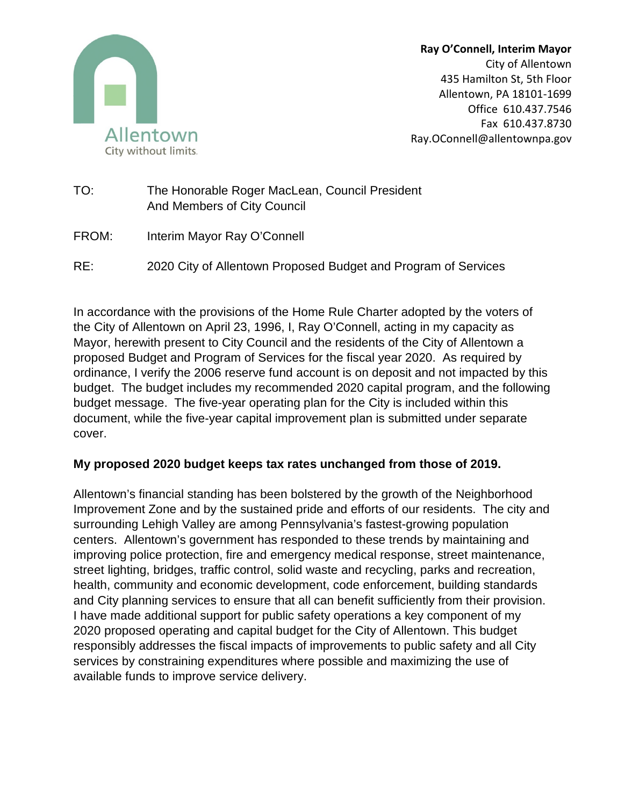

**Ray O'Connell, Interim Mayor** City of Allentown 435 Hamilton St, 5th Floor Allentown, PA 18101-1699 Office 610.437.7546 Fax 610.437.8730 Ray.OConnell@allentownpa.gov

- TO: The Honorable Roger MacLean, Council President And Members of City Council
- FROM: Interim Mayor Ray O'Connell
- RE: 2020 City of Allentown Proposed Budget and Program of Services

In accordance with the provisions of the Home Rule Charter adopted by the voters of the City of Allentown on April 23, 1996, I, Ray O'Connell, acting in my capacity as Mayor, herewith present to City Council and the residents of the City of Allentown a proposed Budget and Program of Services for the fiscal year 2020. As required by ordinance, I verify the 2006 reserve fund account is on deposit and not impacted by this budget. The budget includes my recommended 2020 capital program, and the following budget message. The five-year operating plan for the City is included within this document, while the five-year capital improvement plan is submitted under separate cover.

## **My proposed 2020 budget keeps tax rates unchanged from those of 2019.**

Allentown's financial standing has been bolstered by the growth of the Neighborhood Improvement Zone and by the sustained pride and efforts of our residents. The city and surrounding Lehigh Valley are among Pennsylvania's fastest-growing population centers. Allentown's government has responded to these trends by maintaining and improving police protection, fire and emergency medical response, street maintenance, street lighting, bridges, traffic control, solid waste and recycling, parks and recreation, health, community and economic development, code enforcement, building standards and City planning services to ensure that all can benefit sufficiently from their provision. I have made additional support for public safety operations a key component of my 2020 proposed operating and capital budget for the City of Allentown. This budget responsibly addresses the fiscal impacts of improvements to public safety and all City services by constraining expenditures where possible and maximizing the use of available funds to improve service delivery.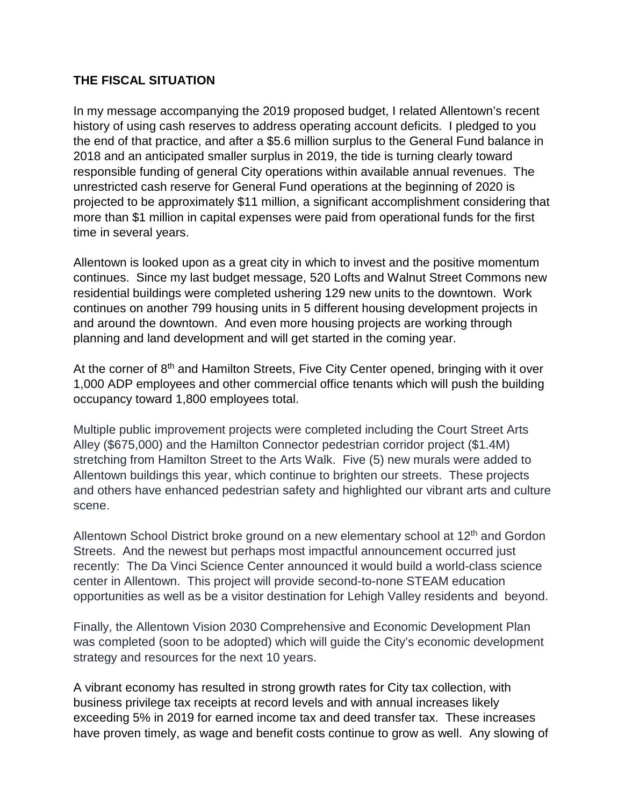## **THE FISCAL SITUATION**

In my message accompanying the 2019 proposed budget, I related Allentown's recent history of using cash reserves to address operating account deficits. I pledged to you the end of that practice, and after a \$5.6 million surplus to the General Fund balance in 2018 and an anticipated smaller surplus in 2019, the tide is turning clearly toward responsible funding of general City operations within available annual revenues. The unrestricted cash reserve for General Fund operations at the beginning of 2020 is projected to be approximately \$11 million, a significant accomplishment considering that more than \$1 million in capital expenses were paid from operational funds for the first time in several years.

Allentown is looked upon as a great city in which to invest and the positive momentum continues. Since my last budget message, 520 Lofts and Walnut Street Commons new residential buildings were completed ushering 129 new units to the downtown. Work continues on another 799 housing units in 5 different housing development projects in and around the downtown. And even more housing projects are working through planning and land development and will get started in the coming year.

At the corner of 8<sup>th</sup> and Hamilton Streets, Five City Center opened, bringing with it over 1,000 ADP employees and other commercial office tenants which will push the building occupancy toward 1,800 employees total.

Multiple public improvement projects were completed including the Court Street Arts Alley (\$675,000) and the Hamilton Connector pedestrian corridor project (\$1.4M) stretching from Hamilton Street to the Arts Walk. Five (5) new murals were added to Allentown buildings this year, which continue to brighten our streets. These projects and others have enhanced pedestrian safety and highlighted our vibrant arts and culture scene.

Allentown School District broke ground on a new elementary school at 12<sup>th</sup> and Gordon Streets. And the newest but perhaps most impactful announcement occurred just recently: The Da Vinci Science Center announced it would build a world-class science center in Allentown. This project will provide second-to-none STEAM education opportunities as well as be a visitor destination for Lehigh Valley residents and beyond.

Finally, the Allentown Vision 2030 Comprehensive and Economic Development Plan was completed (soon to be adopted) which will guide the City's economic development strategy and resources for the next 10 years.

A vibrant economy has resulted in strong growth rates for City tax collection, with business privilege tax receipts at record levels and with annual increases likely exceeding 5% in 2019 for earned income tax and deed transfer tax. These increases have proven timely, as wage and benefit costs continue to grow as well. Any slowing of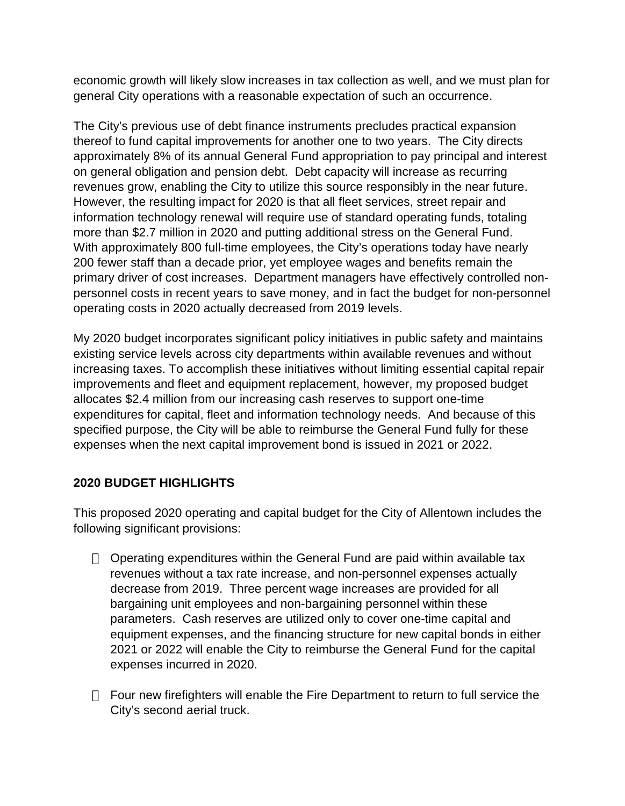economic growth will likely slow increases in tax collection as well, and we must plan for general City operations with a reasonable expectation of such an occurrence.

The City's previous use of debt finance instruments precludes practical expansion thereof to fund capital improvements for another one to two years. The City directs approximately 8% of its annual General Fund appropriation to pay principal and interest on general obligation and pension debt. Debt capacity will increase as recurring revenues grow, enabling the City to utilize this source responsibly in the near future. However, the resulting impact for 2020 is that all fleet services, street repair and information technology renewal will require use of standard operating funds, totaling more than \$2.7 million in 2020 and putting additional stress on the General Fund. With approximately 800 full-time employees, the City's operations today have nearly 200 fewer staff than a decade prior, yet employee wages and benefits remain the primary driver of cost increases. Department managers have effectively controlled nonpersonnel costs in recent years to save money, and in fact the budget for non-personnel operating costs in 2020 actually decreased from 2019 levels.

My 2020 budget incorporates significant policy initiatives in public safety and maintains existing service levels across city departments within available revenues and without increasing taxes. To accomplish these initiatives without limiting essential capital repair improvements and fleet and equipment replacement, however, my proposed budget allocates \$2.4 million from our increasing cash reserves to support one-time expenditures for capital, fleet and information technology needs. And because of this specified purpose, the City will be able to reimburse the General Fund fully for these expenses when the next capital improvement bond is issued in 2021 or 2022.

## **2020 BUDGET HIGHLIGHTS**

This proposed 2020 operating and capital budget for the City of Allentown includes the following significant provisions:

 Operating expenditures within the General Fund are paid within available tax revenues without a tax rate increase, and non-personnel expenses actually decrease from 2019. Three percent wage increases are provided for all bargaining unit employees and non-bargaining personnel within these parameters. Cash reserves are utilized only to cover one-time capital and equipment expenses, and the financing structure for new capital bonds in either 2021 or 2022 will enable the City to reimburse the General Fund for the capital expenses incurred in 2020.

 Four new firefighters will enable the Fire Department to return to full service the City's second aerial truck.